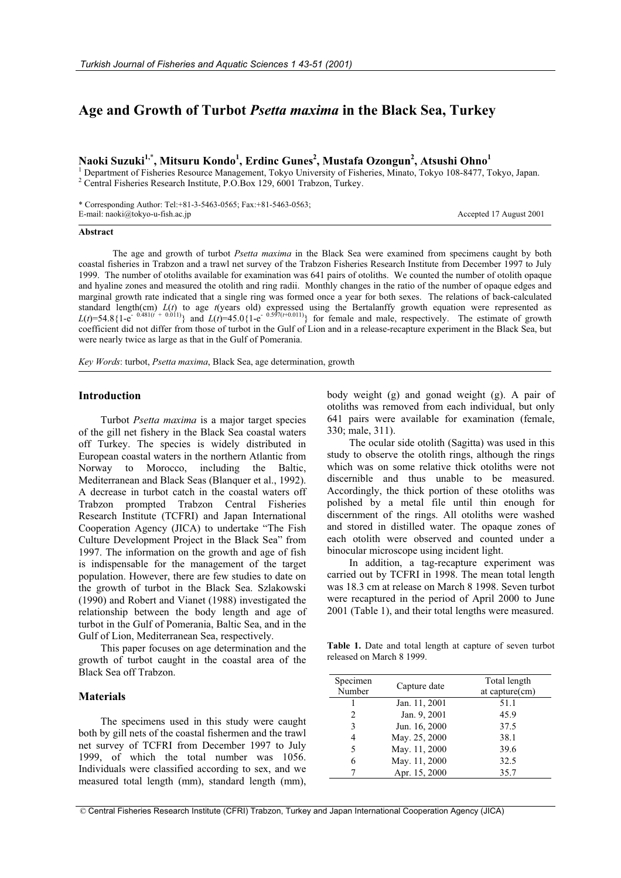# **Age and Growth of Turbot** *Psetta maxima* **in the Black Sea, Turkey**

**Naoki Suzuki1,**\* **, Mitsuru Kondo<sup>1</sup> , Erdinc Gunes2 , Mustafa Ozongun<sup>2</sup> , Atsushi Ohno<sup>1</sup>**

<sup>1</sup> Department of Fisheries Resource Management, Tokyo University of Fisheries, Minato, Tokyo 108-8477, Tokyo, Japan. <sup>2</sup> Central Fisheries Research Institute, P.O.Box 129, 6001 Trabzon, Turkey.

\* Corresponding Author: Tel:+81-3-5463-0565; Fax:+81-5463-0563; E-mail: naoki@tokyo-u-fish.ac.jp Accepted 17 August 2001

### **Abstract**

 The age and growth of turbot *Psetta maxima* in the Black Sea were examined from specimens caught by both coastal fisheries in Trabzon and a trawl net survey of the Trabzon Fisheries Research Institute from December 1997 to July 1999. The number of otoliths available for examination was 641 pairs of otoliths. We counted the number of otolith opaque and hyaline zones and measured the otolith and ring radii. Monthly changes in the ratio of the number of opaque edges and marginal growth rate indicated that a single ring was formed once a year for both sexes. The relations of back-calculated standard length(cm) *L*(*t*) to age *t*(years old) expressed using the Bertalanffy growth equation were represented as  $L(t)$ =54.8{1-e<sup>-0.481(*t* + 0.011)} and  $L(t)$ =45.0{1-e<sup>-0.597(*t*+0.011)}</sub> for female and male, respectively. The estimate of growth</sup></sup> coefficient did not differ from those of turbot in the Gulf of Lion and in a release-recapture experiment in the Black Sea, but were nearly twice as large as that in the Gulf of Pomerania.

*Key Words*: turbot, *Psetta maxima*, Black Sea, age determination, growth

# **Introduction**

Turbot *Psetta maxima* is a major target species of the gill net fishery in the Black Sea coastal waters off Turkey. The species is widely distributed in European coastal waters in the northern Atlantic from Norway to Morocco, including the Baltic, Mediterranean and Black Seas (Blanquer et al., 1992). A decrease in turbot catch in the coastal waters off Trabzon prompted Trabzon Central Fisheries Research Institute (TCFRI) and Japan International Cooperation Agency (JICA) to undertake "The Fish Culture Development Project in the Black Sea" from 1997. The information on the growth and age of fish is indispensable for the management of the target population. However, there are few studies to date on the growth of turbot in the Black Sea. Szlakowski (1990) and Robert and Vianet (1988) investigated the relationship between the body length and age of turbot in the Gulf of Pomerania, Baltic Sea, and in the Gulf of Lion, Mediterranean Sea, respectively.

This paper focuses on age determination and the growth of turbot caught in the coastal area of the Black Sea off Trabzon.

### **Materials**

The specimens used in this study were caught both by gill nets of the coastal fishermen and the trawl net survey of TCFRI from December 1997 to July 1999, of which the total number was 1056. Individuals were classified according to sex, and we measured total length (mm), standard length (mm),

body weight (g) and gonad weight (g). A pair of otoliths was removed from each individual, but only 641 pairs were available for examination (female, 330; male, 311).

The ocular side otolith (Sagitta) was used in this study to observe the otolith rings, although the rings which was on some relative thick otoliths were not discernible and thus unable to be measured. Accordingly, the thick portion of these otoliths was polished by a metal file until thin enough for discernment of the rings. All otoliths were washed and stored in distilled water. The opaque zones of each otolith were observed and counted under a binocular microscope using incident light.

In addition, a tag-recapture experiment was carried out by TCFRI in 1998. The mean total length was 18.3 cm at release on March 8 1998. Seven turbot were recaptured in the period of April 2000 to June 2001 (Table 1), and their total lengths were measured.

**Table 1.** Date and total length at capture of seven turbot released on March 8 1999.

| Specimen<br>Number | Capture date  | Total length<br>at capture(cm) |
|--------------------|---------------|--------------------------------|
|                    | Jan. 11, 2001 | 51.1                           |
| 2                  | Jan. 9, 2001  | 45.9                           |
| 3                  | Jun. 16, 2000 | 37.5                           |
| 4                  | May. 25, 2000 | 38.1                           |
| 5                  | May. 11, 2000 | 39.6                           |
| 6                  | May. 11, 2000 | 32.5                           |
|                    | Apr. 15, 2000 | 35.7                           |

© Central Fisheries Research Institute (CFRI) Trabzon, Turkey and Japan International Cooperation Agency (JICA)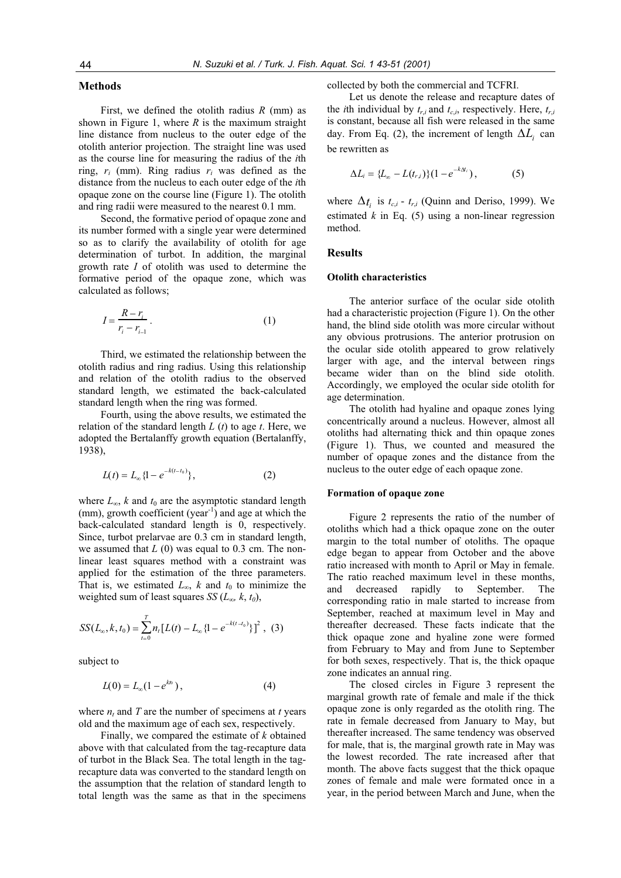# **Methods**

First, we defined the otolith radius *R* (mm) as shown in Figure 1, where *R* is the maximum straight line distance from nucleus to the outer edge of the otolith anterior projection. The straight line was used as the course line for measuring the radius of the *i*th ring, *ri* (mm). Ring radius *ri* was defined as the distance from the nucleus to each outer edge of the *i*th opaque zone on the course line (Figure 1). The otolith and ring radii were measured to the nearest 0.1 mm.

Second, the formative period of opaque zone and its number formed with a single year were determined so as to clarify the availability of otolith for age determination of turbot. In addition, the marginal growth rate *I* of otolith was used to determine the formative period of the opaque zone, which was calculated as follows;

$$
I = \frac{R - r_i}{r_i - r_{i-1}}.
$$
\n<sup>(1)</sup>

Third, we estimated the relationship between the otolith radius and ring radius. Using this relationship and relation of the otolith radius to the observed standard length, we estimated the back-calculated standard length when the ring was formed.

Fourth, using the above results, we estimated the relation of the standard length *L* (*t*) to age *t*. Here, we adopted the Bertalanffy growth equation (Bertalanffy, 1938),

$$
L(t) = L_{\infty} \{1 - e^{-k(t - t_0)}\},\tag{2}
$$

where  $L_{\infty}$ , *k* and  $t_0$  are the asymptotic standard length (mm), growth coefficient (year<sup>-1</sup>) and age at which the back-calculated standard length is 0, respectively. Since, turbot prelarvae are 0.3 cm in standard length, we assumed that *L* (0) was equal to 0.3 cm. The nonlinear least squares method with a constraint was applied for the estimation of the three parameters. That is, we estimated  $L_{\infty}$ , *k* and  $t_0$  to minimize the weighted sum of least squares *SS* ( $L_{\infty}$ ,  $k$ ,  $t_0$ ),

$$
SS(L_{\infty},k,t_0) = \sum_{t=0}^{T} n_t [L(t) - L_{\infty} \{1 - e^{-k(t-t_0)}\}]^2 , (3)
$$

subject to

$$
L(0) = L_{\infty}(1 - e^{kt_0}), \qquad (4)
$$

where  $n_t$  and  $T$  are the number of specimens at  $t$  years old and the maximum age of each sex, respectively.

Finally, we compared the estimate of *k* obtained above with that calculated from the tag-recapture data of turbot in the Black Sea. The total length in the tagrecapture data was converted to the standard length on the assumption that the relation of standard length to total length was the same as that in the specimens collected by both the commercial and TCFRI.

Let us denote the release and recapture dates of the *i*th individual by  $t_{r,i}$  and  $t_{c,i}$ , respectively. Here,  $t_{r,i}$ is constant, because all fish were released in the same day. From Eq. (2), the increment of length  $\Delta L_i$  can be rewritten as

$$
\Delta L_i = \{L_{\infty} - L(t_{r,i})\}(1 - e^{-k\Delta t_i}), \qquad (5)
$$

where  $\Delta t_i$  is  $t_{c,i}$  -  $t_{r,i}$  (Quinn and Deriso, 1999). We estimated  $k$  in Eq. (5) using a non-linear regression method.

# **Results**

#### **Otolith characteristics**

The anterior surface of the ocular side otolith had a characteristic projection (Figure 1). On the other hand, the blind side otolith was more circular without any obvious protrusions. The anterior protrusion on the ocular side otolith appeared to grow relatively larger with age, and the interval between rings became wider than on the blind side otolith. Accordingly, we employed the ocular side otolith for age determination.

The otolith had hyaline and opaque zones lying concentrically around a nucleus. However, almost all otoliths had alternating thick and thin opaque zones (Figure 1). Thus, we counted and measured the number of opaque zones and the distance from the nucleus to the outer edge of each opaque zone.

#### **Formation of opaque zone**

Figure 2 represents the ratio of the number of otoliths which had a thick opaque zone on the outer margin to the total number of otoliths. The opaque edge began to appear from October and the above ratio increased with month to April or May in female. The ratio reached maximum level in these months, and decreased rapidly to September. The corresponding ratio in male started to increase from September, reached at maximum level in May and thereafter decreased. These facts indicate that the thick opaque zone and hyaline zone were formed from February to May and from June to September for both sexes, respectively. That is, the thick opaque zone indicates an annual ring.

The closed circles in Figure 3 represent the marginal growth rate of female and male if the thick opaque zone is only regarded as the otolith ring. The rate in female decreased from January to May, but thereafter increased. The same tendency was observed for male, that is, the marginal growth rate in May was the lowest recorded. The rate increased after that month. The above facts suggest that the thick opaque zones of female and male were formated once in a year, in the period between March and June, when the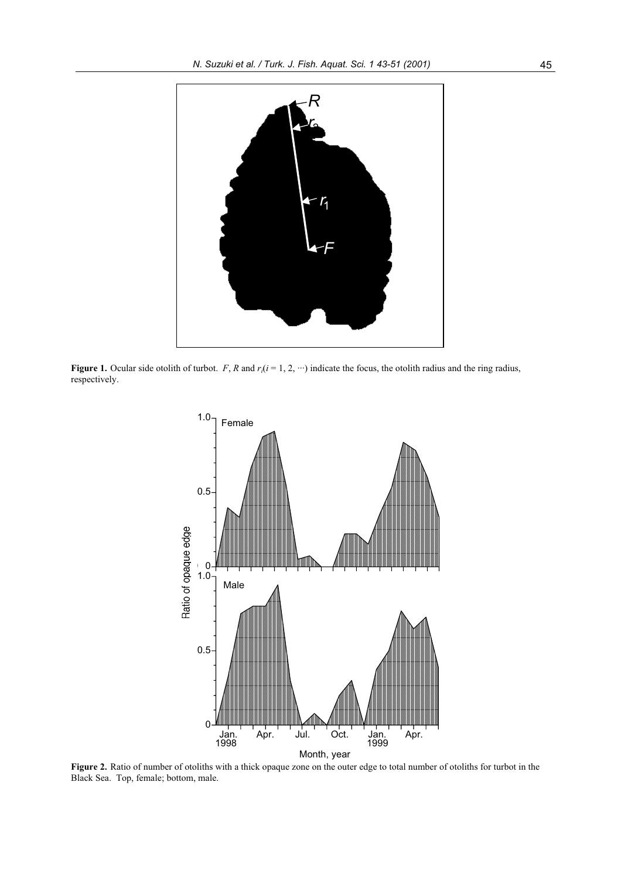

**Figure 1.** Ocular side otolith of turbot. *F*, *R* and  $r_i(i = 1, 2, \cdots)$  indicate the focus, the otolith radius and the ring radius, respectively.



**Figure 2.** Ratio of number of otoliths with a thick opaque zone on the outer edge to total number of otoliths for turbot in the Black Sea. Top, female; bottom, male.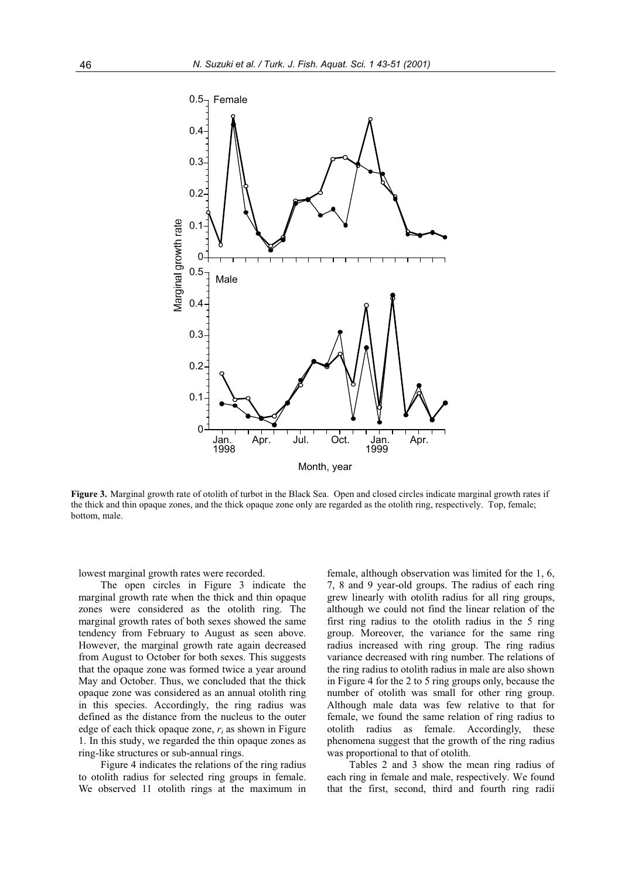

**Figure 3.** Marginal growth rate of otolith of turbot in the Black Sea. Open and closed circles indicate marginal growth rates if the thick and thin opaque zones, and the thick opaque zone only are regarded as the otolith ring, respectively. Top, female; bottom, male.

lowest marginal growth rates were recorded.

The open circles in Figure 3 indicate the marginal growth rate when the thick and thin opaque zones were considered as the otolith ring. The marginal growth rates of both sexes showed the same tendency from February to August as seen above. However, the marginal growth rate again decreased from August to October for both sexes. This suggests that the opaque zone was formed twice a year around May and October. Thus, we concluded that the thick opaque zone was considered as an annual otolith ring in this species. Accordingly, the ring radius was defined as the distance from the nucleus to the outer edge of each thick opaque zone, *ri* as shown in Figure 1. In this study, we regarded the thin opaque zones as ring-like structures or sub-annual rings.

Figure 4 indicates the relations of the ring radius to otolith radius for selected ring groups in female. We observed 11 otolith rings at the maximum in female, although observation was limited for the 1, 6, 7, 8 and 9 year-old groups. The radius of each ring grew linearly with otolith radius for all ring groups, although we could not find the linear relation of the first ring radius to the otolith radius in the 5 ring group. Moreover, the variance for the same ring radius increased with ring group. The ring radius variance decreased with ring number. The relations of the ring radius to otolith radius in male are also shown in Figure 4 for the 2 to 5 ring groups only, because the number of otolith was small for other ring group. Although male data was few relative to that for female, we found the same relation of ring radius to otolith radius as female. Accordingly, these phenomena suggest that the growth of the ring radius was proportional to that of otolith.

Tables 2 and 3 show the mean ring radius of each ring in female and male, respectively. We found that the first, second, third and fourth ring radii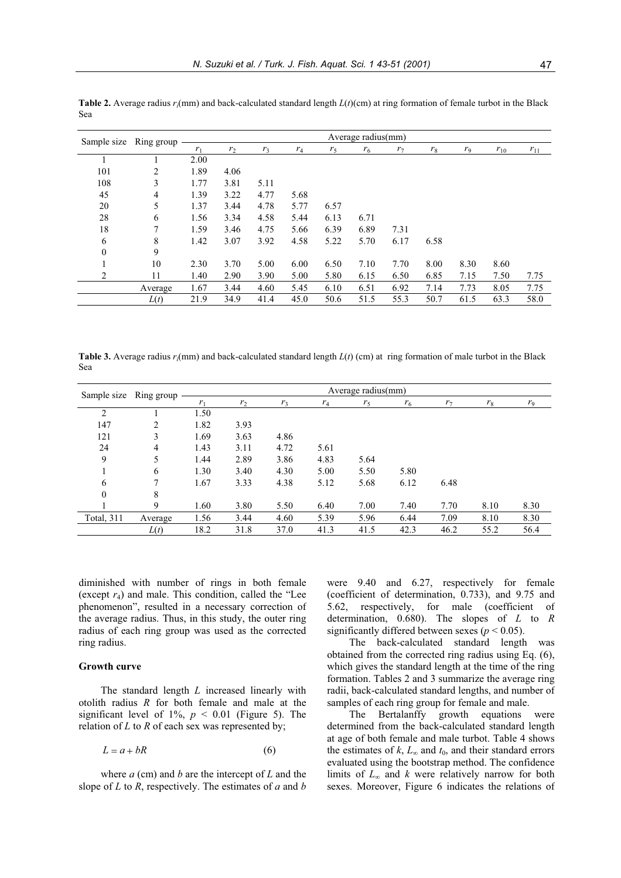| Sample size  | Ring group | Average radius(mm) |                |                |       |                |       |                |       |                |          |          |
|--------------|------------|--------------------|----------------|----------------|-------|----------------|-------|----------------|-------|----------------|----------|----------|
|              |            | r <sub>1</sub>     | r <sub>2</sub> | r <sub>3</sub> | $r_4$ | r <sub>5</sub> | $r_6$ | r <sub>7</sub> | $r_8$ | r <sub>9</sub> | $r_{10}$ | $r_{11}$ |
|              |            | 2.00               |                |                |       |                |       |                |       |                |          |          |
| 101          | 2          | 1.89               | 4.06           |                |       |                |       |                |       |                |          |          |
| 108          | 3          | 1.77               | 3.81           | 5.11           |       |                |       |                |       |                |          |          |
| 45           | 4          | 1.39               | 3.22           | 4.77           | 5.68  |                |       |                |       |                |          |          |
| 20           | 5          | 1.37               | 3.44           | 4.78           | 5.77  | 6.57           |       |                |       |                |          |          |
| 28           | 6          | 1.56               | 3.34           | 4.58           | 5.44  | 6.13           | 6.71  |                |       |                |          |          |
| 18           | 7          | 1.59               | 3.46           | 4.75           | 5.66  | 6.39           | 6.89  | 7.31           |       |                |          |          |
| 6            | 8          | 1.42               | 3.07           | 3.92           | 4.58  | 5.22           | 5.70  | 6.17           | 6.58  |                |          |          |
| $\mathbf{0}$ | 9          |                    |                |                |       |                |       |                |       |                |          |          |
|              | 10         | 2.30               | 3.70           | 5.00           | 6.00  | 6.50           | 7.10  | 7.70           | 8.00  | 8.30           | 8.60     |          |
| 2            | 11         | 1.40               | 2.90           | 3.90           | 5.00  | 5.80           | 6.15  | 6.50           | 6.85  | 7.15           | 7.50     | 7.75     |
|              | Average    | 1.67               | 3.44           | 4.60           | 5.45  | 6.10           | 6.51  | 6.92           | 7.14  | 7.73           | 8.05     | 7.75     |
|              | L(t)       | 21.9               | 34.9           | 41.4           | 45.0  | 50.6           | 51.5  | 55.3           | 50.7  | 61.5           | 63.3     | 58.0     |

**Table 2.** Average radius  $r_i$ (mm) and back-calculated standard length  $L(t)$ (cm) at ring formation of female turbot in the Black Sea

**Table 3.** Average radius *ri*(mm) and back-calculated standard length *L*(*t*) (cm) at ring formation of male turbot in the Black Sea

| Sample size       | Ring group | Average radius(mm) |                |                |       |                |       |                |       |       |
|-------------------|------------|--------------------|----------------|----------------|-------|----------------|-------|----------------|-------|-------|
|                   |            | r <sub>1</sub>     | r <sub>2</sub> | r <sub>3</sub> | $r_4$ | r <sub>5</sub> | $r_6$ | r <sub>7</sub> | $r_8$ | $r_9$ |
| 2                 |            | 1.50               |                |                |       |                |       |                |       |       |
| 147               | 2          | 1.82               | 3.93           |                |       |                |       |                |       |       |
| 121               | 3          | 1.69               | 3.63           | 4.86           |       |                |       |                |       |       |
| 24                | 4          | 1.43               | 3.11           | 4.72           | 5.61  |                |       |                |       |       |
| 9                 | 5          | 1.44               | 2.89           | 3.86           | 4.83  | 5.64           |       |                |       |       |
|                   | 6          | 1.30               | 3.40           | 4.30           | 5.00  | 5.50           | 5.80  |                |       |       |
| 6                 | 7          | 1.67               | 3.33           | 4.38           | 5.12  | 5.68           | 6.12  | 6.48           |       |       |
| $\boldsymbol{0}$  | 8          |                    |                |                |       |                |       |                |       |       |
|                   | 9          | 1.60               | 3.80           | 5.50           | 6.40  | 7.00           | 7.40  | 7.70           | 8.10  | 8.30  |
| <b>Total, 311</b> | Average    | 1.56               | 3.44           | 4.60           | 5.39  | 5.96           | 6.44  | 7.09           | 8.10  | 8.30  |
|                   | L(t)       | 18.2               | 31.8           | 37.0           | 41.3  | 41.5           | 42.3  | 46.2           | 55.2  | 56.4  |

diminished with number of rings in both female (except *r*4) and male. This condition, called the "Lee phenomenon", resulted in a necessary correction of the average radius. Thus, in this study, the outer ring radius of each ring group was used as the corrected ring radius.

# **Growth curve**

The standard length *L* increased linearly with otolith radius *R* for both female and male at the significant level of  $1\%$ ,  $p < 0.01$  (Figure 5). The relation of *L* to *R* of each sex was represented by;

$$
L = a + bR \tag{6}
$$

where *a* (cm) and *b* are the intercept of *L* and the slope of *L* to *R*, respectively. The estimates of *a* and *b*

were 9.40 and 6.27, respectively for female (coefficient of determination, 0.733), and 9.75 and 5.62, respectively, for male (coefficient of determination, 0.680). The slopes of *L* to *R* significantly differed between sexes ( $p < 0.05$ ).

The back-calculated standard length was obtained from the corrected ring radius using Eq. (6), which gives the standard length at the time of the ring formation. Tables 2 and 3 summarize the average ring radii, back-calculated standard lengths, and number of samples of each ring group for female and male.

The Bertalanffy growth equations were determined from the back-calculated standard length at age of both female and male turbot. Table 4 shows the estimates of  $k$ ,  $L_{\infty}$  and  $t_0$ , and their standard errors evaluated using the bootstrap method. The confidence limits of  $L_{\infty}$  and *k* were relatively narrow for both sexes. Moreover, Figure 6 indicates the relations of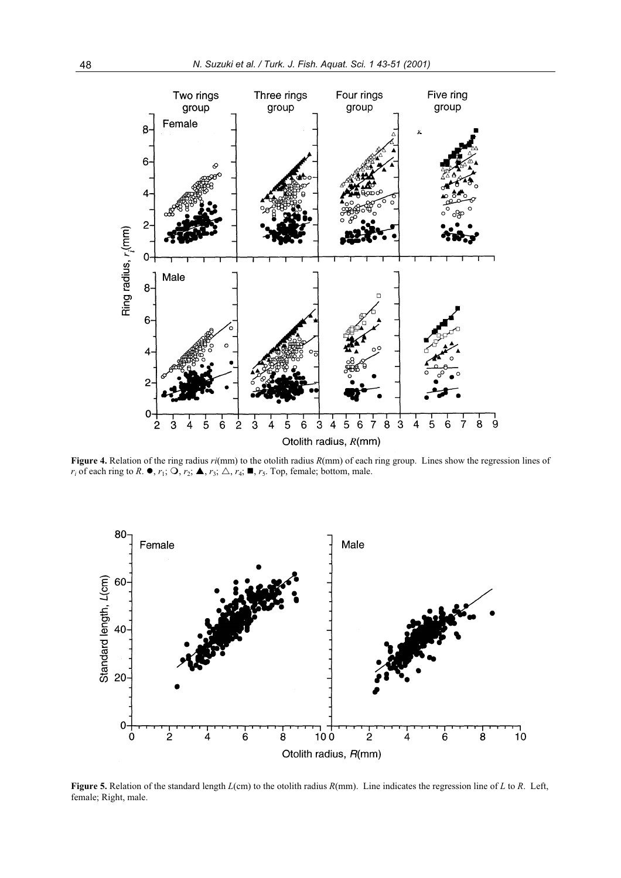

**Figure 4.** Relation of the ring radius *ri*(mm) to the otolith radius *R*(mm) of each ring group. Lines show the regression lines of  $r_i$  of each ring to *R*.  $\bullet$ ,  $r_1$ ;  $\bigcirc$ ,  $r_2$ ;  $\blacktriangle$ ,  $r_3$ ;  $\triangle$ ,  $r_4$ ;  $\blacksquare$ ,  $r_5$ . Top, female; bottom, male.



**Figure 5.** Relation of the standard length *L*(cm) to the otolith radius *R*(mm). Line indicates the regression line of *L* to *R*. Left, female; Right, male.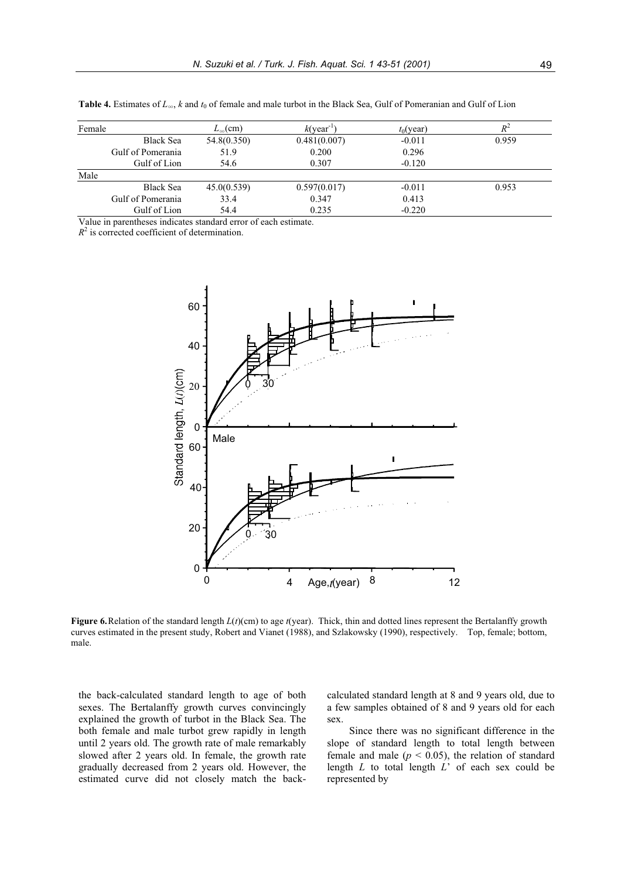| Female |                   | $L_{\infty}$ (cm) | $k$ (year <sup>-1</sup> ) | $t_0$ (year) | $R^{\scriptscriptstyle\angle}$ |
|--------|-------------------|-------------------|---------------------------|--------------|--------------------------------|
|        | <b>Black Sea</b>  | 54.8(0.350)       | 0.481(0.007)              | $-0.011$     | 0.959                          |
|        | Gulf of Pomerania | 51.9              | 0.200                     | 0.296        |                                |
|        | Gulf of Lion      | 54.6              | 0.307                     | $-0.120$     |                                |
| Male   |                   |                   |                           |              |                                |
|        | <b>Black Sea</b>  | 45.0(0.539)       | 0.597(0.017)              | $-0.011$     | 0.953                          |
|        | Gulf of Pomerania | 33.4              | 0.347                     | 0.413        |                                |
|        | Gulf of Lion      | 54.4              | 0.235                     | $-0.220$     |                                |

**Table 4.** Estimates of  $L_{\infty}$ , *k* and  $t_0$  of female and male turbot in the Black Sea, Gulf of Pomeranian and Gulf of Lion

Value in parentheses indicates standard error of each estimate.

 $R<sup>2</sup>$  is corrected coefficient of determination.



**Figure 6.**Relation of the standard length *L*(*t*)(cm) to age *t*(year). Thick, thin and dotted lines represent the Bertalanffy growth curves estimated in the present study, Robert and Vianet (1988), and Szlakowsky (1990), respectively. Top, female; bottom, male.

the back-calculated standard length to age of both sexes. The Bertalanffy growth curves convincingly explained the growth of turbot in the Black Sea. The both female and male turbot grew rapidly in length until 2 years old. The growth rate of male remarkably slowed after 2 years old. In female, the growth rate gradually decreased from 2 years old. However, the estimated curve did not closely match the backcalculated standard length at 8 and 9 years old, due to a few samples obtained of 8 and 9 years old for each sex.

Since there was no significant difference in the slope of standard length to total length between female and male  $(p < 0.05)$ , the relation of standard length *L* to total length *L*' of each sex could be represented by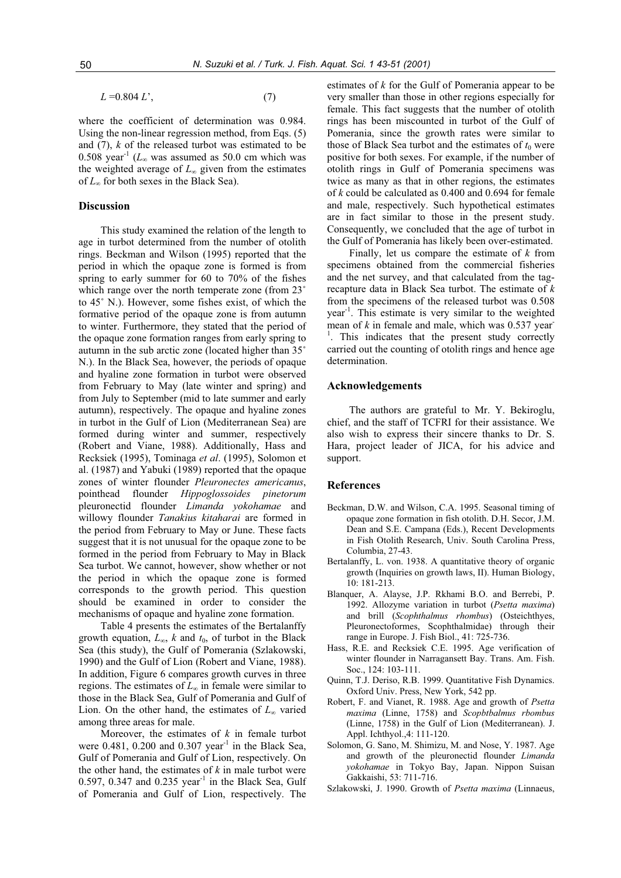$L = 0.804 L'$ , (7)

where the coefficient of determination was 0.984. Using the non-linear regression method, from Eqs. (5) and (7), *k* of the released turbot was estimated to be 0.508 year<sup>-1</sup> ( $L_{\infty}$  was assumed as 50.0 cm which was the weighted average of  $L_{\infty}$  given from the estimates of  $L_{\infty}$  for both sexes in the Black Sea).

### **Discussion**

This study examined the relation of the length to age in turbot determined from the number of otolith rings. Beckman and Wilson (1995) reported that the period in which the opaque zone is formed is from spring to early summer for 60 to 70% of the fishes which range over the north temperate zone (from 23° to 45˚ N.). However, some fishes exist, of which the formative period of the opaque zone is from autumn to winter. Furthermore, they stated that the period of the opaque zone formation ranges from early spring to autumn in the sub arctic zone (located higher than 35˚ N.). In the Black Sea, however, the periods of opaque and hyaline zone formation in turbot were observed from February to May (late winter and spring) and from July to September (mid to late summer and early autumn), respectively. The opaque and hyaline zones in turbot in the Gulf of Lion (Mediterranean Sea) are formed during winter and summer, respectively (Robert and Viane, 1988). Additionally, Hass and Recksiek (1995), Tominaga *et al*. (1995), Solomon et al. (1987) and Yabuki (1989) reported that the opaque zones of winter flounder *Pleuronectes americanus*, pointhead flounder *Hippoglossoides pinetorum* pleuronectid flounder *Limanda yokohamae* and willowy flounder *Tanakius kitaharai* are formed in the period from February to May or June. These facts suggest that it is not unusual for the opaque zone to be formed in the period from February to May in Black Sea turbot. We cannot, however, show whether or not the period in which the opaque zone is formed corresponds to the growth period. This question should be examined in order to consider the mechanisms of opaque and hyaline zone formation.

Table 4 presents the estimates of the Bertalanffy growth equation,  $L_{\infty}$ , *k* and  $t_0$ , of turbot in the Black Sea (this study), the Gulf of Pomerania (Szlakowski, 1990) and the Gulf of Lion (Robert and Viane, 1988). In addition, Figure 6 compares growth curves in three regions. The estimates of  $L_{\infty}$  in female were similar to those in the Black Sea, Gulf of Pomerania and Gulf of Lion. On the other hand, the estimates of  $L_{\infty}$  varied among three areas for male.

Moreover, the estimates of *k* in female turbot were  $0.481$ ,  $0.200$  and  $0.307$  year<sup>-1</sup> in the Black Sea, Gulf of Pomerania and Gulf of Lion, respectively. On the other hand, the estimates of *k* in male turbot were  $0.597$ ,  $0.347$  and  $0.235$  year<sup>-1</sup> in the Black Sea, Gulf of Pomerania and Gulf of Lion, respectively. The

estimates of *k* for the Gulf of Pomerania appear to be very smaller than those in other regions especially for female. This fact suggests that the number of otolith rings has been miscounted in turbot of the Gulf of Pomerania, since the growth rates were similar to those of Black Sea turbot and the estimates of  $t_0$  were positive for both sexes. For example, if the number of otolith rings in Gulf of Pomerania specimens was twice as many as that in other regions, the estimates of *k* could be calculated as 0.400 and 0.694 for female and male, respectively. Such hypothetical estimates are in fact similar to those in the present study. Consequently, we concluded that the age of turbot in the Gulf of Pomerania has likely been over-estimated.

Finally, let us compare the estimate of *k* from specimens obtained from the commercial fisheries and the net survey, and that calculated from the tagrecapture data in Black Sea turbot. The estimate of *k* from the specimens of the released turbot was 0.508 year-1. This estimate is very similar to the weighted mean of *k* in female and male, which was 0.537 year-<sup>1</sup>. This indicates that the present study correctly carried out the counting of otolith rings and hence age determination.

### **Acknowledgements**

The authors are grateful to Mr. Y. Bekiroglu, chief, and the staff of TCFRI for their assistance. We also wish to express their sincere thanks to Dr. S. Hara, project leader of JICA, for his advice and support.

### **References**

- Beckman, D.W. and Wilson, C.A. 1995. Seasonal timing of opaque zone formation in fish otolith. D.H. Secor, J.M. Dean and S.E. Campana (Eds.), Recent Developments in Fish Otolith Research, Univ. South Carolina Press, Columbia, 27-43.
- Bertalanffy, L. von. 1938. A quantitative theory of organic growth (Inquiries on growth laws, II). Human Biology, 10: 181-213.
- Blanquer, A. Alayse, J.P. Rkhami B.O. and Berrebi, P. 1992. Allozyme variation in turbot (*Psetta maxima*) and brill (*Scophthalmus rhombus*) (Osteichthyes, Pleuronectoformes, Scophthalmidae) through their range in Europe. J. Fish Biol., 41: 725-736.
- Hass, R.E. and Recksiek C.E. 1995. Age verification of winter flounder in Narragansett Bay. Trans. Am. Fish. Soc., 124: 103-111.
- Quinn, T.J. Deriso, R.B. 1999. Quantitative Fish Dynamics. Oxford Univ. Press, New York, 542 pp.
- Robert, F. and Vianet, R. 1988. Age and growth of *Psetta maxima* (Linne, 1758) and *Scopbtbalmus rbombus* (Linne, 1758) in the Gulf of Lion (Mediterranean). J. Appl. Ichthyol.,4: 111-120.
- Solomon, G. Sano, M. Shimizu, M. and Nose, Y. 1987. Age and growth of the pleuronectid flounder *Limanda yokohamae* in Tokyo Bay, Japan. Nippon Suisan Gakkaishi, 53: 711-716.
- Szlakowski, J. 1990. Growth of *Psetta maxima* (Linnaeus,